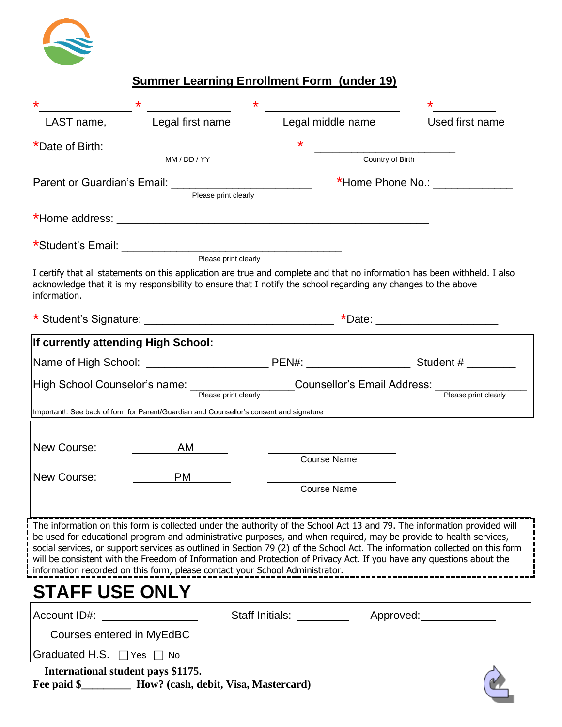

# **Summer Learning Enrollment Form (under 19)**

|                                     | $\star$                                                                                                                                                                                                                                                                                                                     | $\star$                            |  |                                                                                                                                                                                                                                                          |
|-------------------------------------|-----------------------------------------------------------------------------------------------------------------------------------------------------------------------------------------------------------------------------------------------------------------------------------------------------------------------------|------------------------------------|--|----------------------------------------------------------------------------------------------------------------------------------------------------------------------------------------------------------------------------------------------------------|
| LAST name,                          | Legal first name                                                                                                                                                                                                                                                                                                            | Legal middle name                  |  | Used first name                                                                                                                                                                                                                                          |
| *Date of Birth:                     |                                                                                                                                                                                                                                                                                                                             | *                                  |  |                                                                                                                                                                                                                                                          |
|                                     | MM / DD / YY                                                                                                                                                                                                                                                                                                                | Country of Birth                   |  |                                                                                                                                                                                                                                                          |
|                                     | Please print clearly                                                                                                                                                                                                                                                                                                        |                                    |  | *Home Phone No.: ______________                                                                                                                                                                                                                          |
|                                     |                                                                                                                                                                                                                                                                                                                             |                                    |  |                                                                                                                                                                                                                                                          |
|                                     |                                                                                                                                                                                                                                                                                                                             |                                    |  |                                                                                                                                                                                                                                                          |
|                                     |                                                                                                                                                                                                                                                                                                                             |                                    |  |                                                                                                                                                                                                                                                          |
| information.                        | acknowledge that it is my responsibility to ensure that I notify the school regarding any changes to the above                                                                                                                                                                                                              |                                    |  | I certify that all statements on this application are true and complete and that no information has been withheld. I also                                                                                                                                |
|                                     |                                                                                                                                                                                                                                                                                                                             |                                    |  | *Date: _______________________                                                                                                                                                                                                                           |
| If currently attending High School: |                                                                                                                                                                                                                                                                                                                             |                                    |  |                                                                                                                                                                                                                                                          |
|                                     |                                                                                                                                                                                                                                                                                                                             |                                    |  |                                                                                                                                                                                                                                                          |
|                                     |                                                                                                                                                                                                                                                                                                                             | <b>Counsellor's Email Address:</b> |  |                                                                                                                                                                                                                                                          |
|                                     | High School Counselor's name:<br>Please print clearly                                                                                                                                                                                                                                                                       |                                    |  | Please print clearly                                                                                                                                                                                                                                     |
|                                     | Important!: See back of form for Parent/Guardian and Counsellor's consent and signature                                                                                                                                                                                                                                     |                                    |  |                                                                                                                                                                                                                                                          |
|                                     |                                                                                                                                                                                                                                                                                                                             |                                    |  |                                                                                                                                                                                                                                                          |
| New Course:                         | AM                                                                                                                                                                                                                                                                                                                          | <b>Course Name</b>                 |  |                                                                                                                                                                                                                                                          |
| New Course:                         | PM .                                                                                                                                                                                                                                                                                                                        |                                    |  |                                                                                                                                                                                                                                                          |
|                                     |                                                                                                                                                                                                                                                                                                                             | <b>Course Name</b>                 |  |                                                                                                                                                                                                                                                          |
|                                     |                                                                                                                                                                                                                                                                                                                             |                                    |  |                                                                                                                                                                                                                                                          |
|                                     | be used for educational program and administrative purposes, and when required, may be provide to health services,<br>will be consistent with the Freedom of Information and Protection of Privacy Act. If you have any questions about the<br>information recorded on this form, please contact your School Administrator. |                                    |  | The information on this form is collected under the authority of the School Act 13 and 79. The information provided will<br>social services, or support services as outlined in Section 79 (2) of the School Act. The information collected on this form |
| <b>STAFF USE ONLY</b>               |                                                                                                                                                                                                                                                                                                                             |                                    |  |                                                                                                                                                                                                                                                          |
| Account ID#:                        |                                                                                                                                                                                                                                                                                                                             |                                    |  | Staff Initials: _____________ Approved: ____________                                                                                                                                                                                                     |
| Courses entered in MyEdBC           |                                                                                                                                                                                                                                                                                                                             |                                    |  |                                                                                                                                                                                                                                                          |
| Graduated H.S. $\Box$               | Yes<br><b>No</b>                                                                                                                                                                                                                                                                                                            |                                    |  |                                                                                                                                                                                                                                                          |
| International student pays \$1175.  |                                                                                                                                                                                                                                                                                                                             |                                    |  |                                                                                                                                                                                                                                                          |

**Fee paid \$\_\_\_\_\_\_\_\_\_ How? (cash, debit, Visa, Mastercard)**